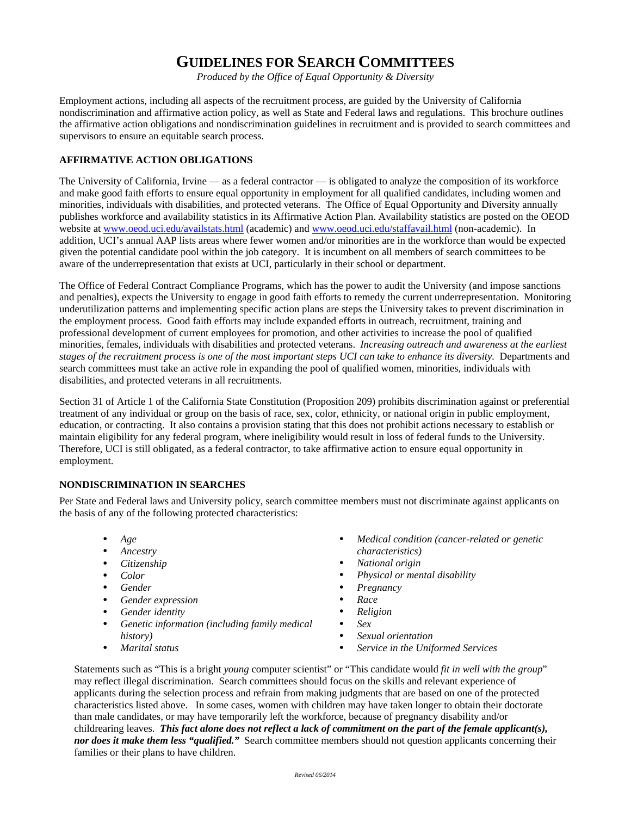## **GUIDELINES FOR SEARCH COMMITTEES**

*Produced by the Office of Equal Opportunity & Diversity* 

Employment actions, including all aspects of the recruitment process, are guided by the University of California nondiscrimination and affirmative action policy, as well as State and Federal laws and regulations. This brochure outlines the affirmative action obligations and nondiscrimination guidelines in recruitment and is provided to search committees and supervisors to ensure an equitable search process.

## **AFFIRMATIVE ACTION OBLIGATIONS**

The University of California, Irvine — as a federal contractor — is obligated to analyze the composition of its workforce and make good faith efforts to ensure equal opportunity in employment for all qualified candidates, including women and minorities, individuals with disabilities, and protected veterans. The Office of Equal Opportunity and Diversity annually publishes workforce and availability statistics in its Affirmative Action Plan. Availability statistics are posted on the OEOD website at www.oeod.uci.edu/availstats.html (academic) and www.oeod.uci.edu/staffavail.html (non-academic). In addition, UCI's annual AAP lists areas where fewer women and/or minorities are in the workforce than would be expected given the potential candidate pool within the job category. It is incumbent on all members of search committees to be aware of the underrepresentation that exists at UCI, particularly in their school or department.

The Office of Federal Contract Compliance Programs, which has the power to audit the University (and impose sanctions and penalties), expects the University to engage in good faith efforts to remedy the current underrepresentation. Monitoring underutilization patterns and implementing specific action plans are steps the University takes to prevent discrimination in the employment process. Good faith efforts may include expanded efforts in outreach, recruitment, training and professional development of current employees for promotion, and other activities to increase the pool of qualified minorities, females, individuals with disabilities and protected veterans. *Increasing outreach and awareness at the earliest stages of the recruitment process is one of the most important steps UCI can take to enhance its diversity.* Departments and search committees must take an active role in expanding the pool of qualified women, minorities, individuals with disabilities, and protected veterans in all recruitments.

Section 31 of Article 1 of the California State Constitution (Proposition 209) prohibits discrimination against or preferential treatment of any individual or group on the basis of race, sex, color, ethnicity, or national origin in public employment, education, or contracting. It also contains a provision stating that this does not prohibit actions necessary to establish or maintain eligibility for any federal program, where ineligibility would result in loss of federal funds to the University. Therefore, UCI is still obligated, as a federal contractor, to take affirmative action to ensure equal opportunity in employment.

## **NONDISCRIMINATION IN SEARCHES**

Per State and Federal laws and University policy, search committee members must not discriminate against applicants on the basis of any of the following protected characteristics:

- *Age*
- *Ancestry*
- *Citizenship*
- *Color*
- *Gender*
- *Gender expression*
- *Gender identity*
- *Genetic information (including family medical history)*
- *Marital status*
- *Medical condition (cancer-related or genetic characteristics)*
- *National origin*
- *Physical or mental disability*
- *Pregnancy*
- *Race*
- *Religion*
- *Sex*
- *Sexual orientation*
- *Service in the Uniformed Services*

Statements such as "This is a bright *young* computer scientist" or "This candidate would *fit in well with the group*" may reflect illegal discrimination. Search committees should focus on the skills and relevant experience of applicants during the selection process and refrain from making judgments that are based on one of the protected characteristics listed above. In some cases, women with children may have taken longer to obtain their doctorate than male candidates, or may have temporarily left the workforce, because of pregnancy disability and/or childrearing leaves. *This fact alone does not reflect a lack of commitment on the part of the female applicant(s), nor does it make them less "qualified."* Search committee members should not question applicants concerning their families or their plans to have children.